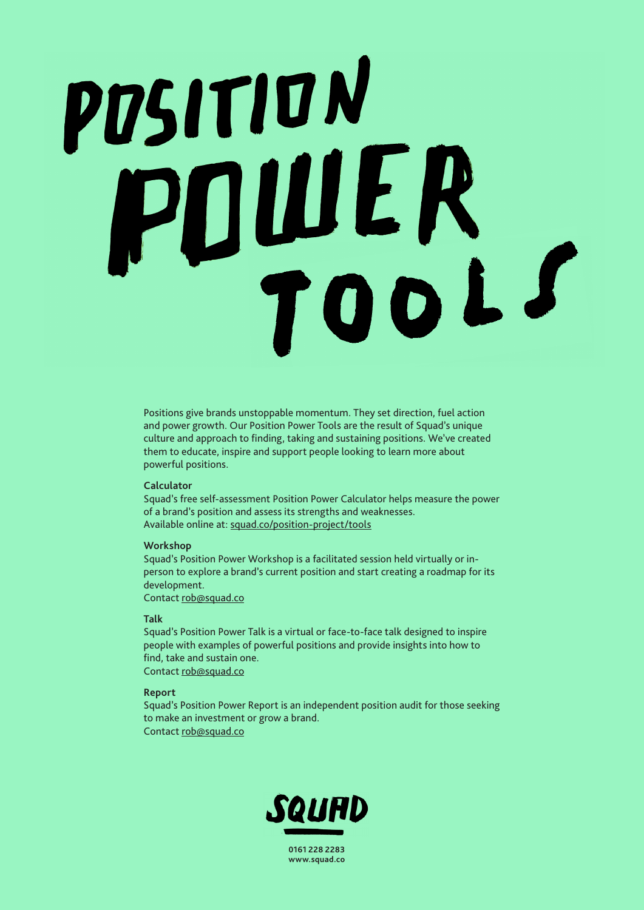# POSITION POULER

Positions give brands unstoppable momentum. They set direction, fuel action and power growth. Our Position Power Tools are the result of Squad's unique culture and approach to finding, taking and sustaining positions. We've created them to educate, inspire and support people looking to learn more about powerful positions.

## **Calculator**

Squad's free self-assessment Position Power Calculator helps measure the power of a brand's position and assess its strengths and weaknesses. Available online at: [squad.co/position-project/tools](https://squad.co/position-project/tools/)

### **Workshop**

Squad's Position Power Workshop is a facilitated session held virtually or inperson to explore a brand's current position and start creating a roadmap for its development.

Contact [rob@squad.co](mailto:rob@squad.co)

# **Talk**

Squad's Position Power Talk is a virtual or face-to-face talk designed to inspire people with examples of powerful positions and provide insights into how to find, take and sustain one. Contact [rob@squad.co](mailto:rob@squad.co)

### **Report**

Squad's Position Power Report is an independent position audit for those seeking to make an investment or grow a brand. Contact [rob@squad.co](mailto:rob@squad.co)